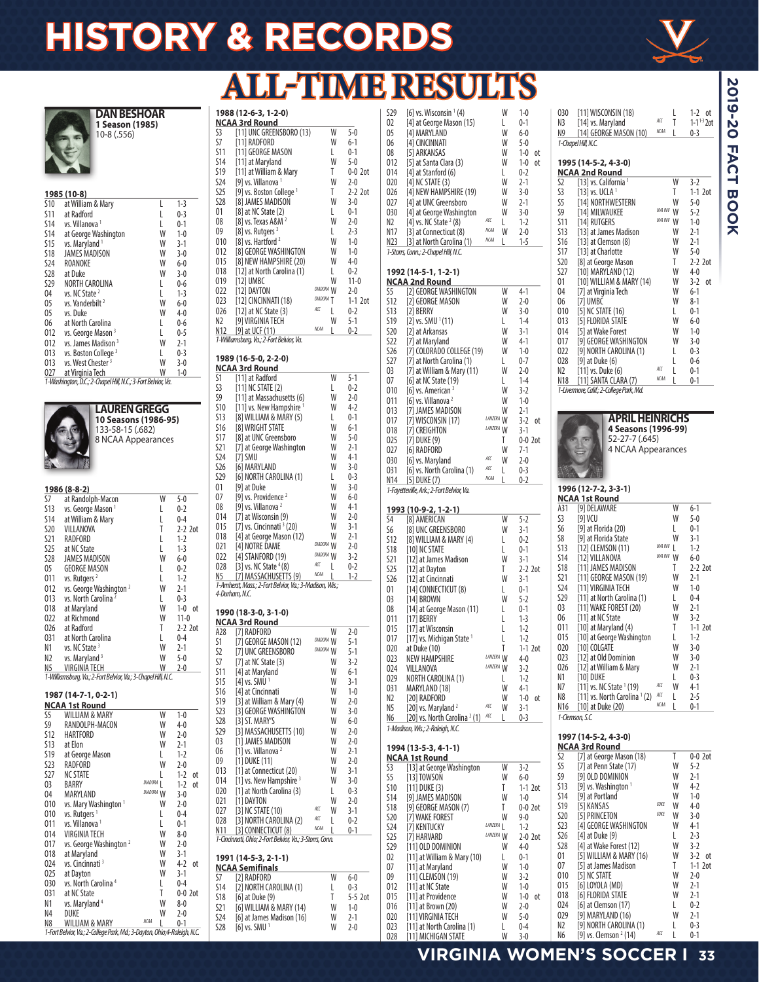## **HISTORY & RECORDS**

**1988 (12-6-3, 1-2-0) NCAA 3rd Round** 

 $\overline{111}$  RADFORD

 $[11]$  at Maryland

[9] vs. Villanova $1$ 

S3 [11] UNC GREENSBORO (13) W 5-0<br>
S7 [11] RADFORD W 6-1<br>
S11 [11] GEORGE MASON L 0-1

S11 [11] GEORGE MASON L 0-1<br>S14 [11] at Maryland W 5-0

S19 [11] at William & Mary T  $0-0$  2ot <br>S24 [9] vs Villanova<sup>1</sup> W  $2-0$ 



### **ALL-TIME RESULTS**

 $2 - 0$ 

**DAN BESHOAR 1 Season (1985)**  10-8 (.556)

| 1985 (10-8) |                                                              |   |         |  |  |  |  |  |
|-------------|--------------------------------------------------------------|---|---------|--|--|--|--|--|
| S10         | at William & Mary                                            |   | $1-3$   |  |  |  |  |  |
| S11         | at Radford                                                   |   | $0 - 3$ |  |  |  |  |  |
| S14         | vs. Villanova <sup>1</sup>                                   |   | $0 - 1$ |  |  |  |  |  |
| S14         | at George Washington                                         | W | $1 - 0$ |  |  |  |  |  |
| S15         | vs. Maryland <sup>1</sup>                                    | W | $3-1$   |  |  |  |  |  |
| S18         | <b>JAMES MADISON</b>                                         | W | $3 - 0$ |  |  |  |  |  |
| S24         | ROANOKE                                                      | W | $6 - 0$ |  |  |  |  |  |
| S28         | at Duke                                                      | W | $3-0$   |  |  |  |  |  |
| S29         | NORTH CAROLINA                                               | L | $0 - 6$ |  |  |  |  |  |
| 04          | vs. NC State <sup>2</sup>                                    | L | $1-3$   |  |  |  |  |  |
| 05          | vs. Vanderbilt <sup>2</sup>                                  | W | $6-0$   |  |  |  |  |  |
| 05          | vs. Duke                                                     | W | $4-0$   |  |  |  |  |  |
| 06          | at North Carolina                                            | L | $0-6$   |  |  |  |  |  |
| 012         | vs. George Mason <sup>3</sup>                                |   | $0 - 5$ |  |  |  |  |  |
| 012         | vs. James Madison <sup>3</sup>                               | W | $2 - 1$ |  |  |  |  |  |
| 013         | vs. Boston College <sup>3</sup>                              | L | $0 - 3$ |  |  |  |  |  |
| 013         | vs. West Chester <sup>3</sup>                                | W | $3 - 0$ |  |  |  |  |  |
| 027         | at Virginia Tech                                             | W | 1-0     |  |  |  |  |  |
|             | 1-Washington, D.C.; 2-Chapel Hill, N.C.; 3-Fort Belvior, Va. |   |         |  |  |  |  |  |

| <b>LAUREN GREGG</b>  |
|----------------------|
| 10 Seasons (1986-95) |
| 133-58-15 (.682)     |
| 8 NCAA Appearances   |
|                      |
|                      |

| 1986 (8-8-2) |                                                               |   |               |  |  |  |  |  |
|--------------|---------------------------------------------------------------|---|---------------|--|--|--|--|--|
| S7           | at Randolph-Macon                                             | W | $5-0$         |  |  |  |  |  |
| <b>S13</b>   | vs. George Mason <sup>1</sup>                                 | L | $0 - 2$       |  |  |  |  |  |
| <b>S14</b>   | at William & Mary                                             | L | $0 - 4$       |  |  |  |  |  |
| <b>S20</b>   | VILLANOVA                                                     | T | $2-2$ 2ot     |  |  |  |  |  |
| S21          | RADFORD                                                       | L | $1-2$         |  |  |  |  |  |
| S25          | at NC State                                                   | L | $1-3$         |  |  |  |  |  |
| <b>S28</b>   | <b>JAMES MADISON</b>                                          | W | $6-0$         |  |  |  |  |  |
| 05           | <b>GEORGE MASON</b>                                           | L | $0 - 2$       |  |  |  |  |  |
| 011          | vs. Rutgers <sup>2</sup>                                      | L | $1 - 2$       |  |  |  |  |  |
| 012          | vs. George Washington <sup>2</sup>                            | W | $2-1$         |  |  |  |  |  |
| 013          | vs. North Carolina <sup>2</sup>                               | L | $0 - 3$       |  |  |  |  |  |
| 018          | at Maryland                                                   | W | $1 - 0$<br>оt |  |  |  |  |  |
| 022          | at Richmond                                                   | W | $11-0$        |  |  |  |  |  |
| 026          | at Radford                                                    | T | $2-2$ 2ot     |  |  |  |  |  |
| 031          | at North Carolina                                             | L | $0 - 4$       |  |  |  |  |  |
| N1           | vs. NC State <sup>3</sup>                                     | W | $2 - 1$       |  |  |  |  |  |
| N2           | vs. Maryland <sup>3</sup>                                     | W | $5-0$         |  |  |  |  |  |
| N5           | <b>VIRGINIA TECH</b>                                          | W | $2 - 0$       |  |  |  |  |  |
|              | 1-Williamsburg, Va.; 2-Fort Belvior, Va.; 3-Chapel Hill, N.C. |   |               |  |  |  |  |  |
|              |                                                               |   |               |  |  |  |  |  |
|              | 1987 (14-7-1, 0-2-1)                                          |   |               |  |  |  |  |  |
|              | <b>NCAA 1st Round</b>                                         |   |               |  |  |  |  |  |
| S5           | <b>WILLIAM &amp; MARY</b>                                     | W | $1 - 0$       |  |  |  |  |  |
| S9           | RANDOLPH-MACON                                                | W | $4-0$         |  |  |  |  |  |
| S12          | <b>HARTFORD</b>                                               | W | $2-0$         |  |  |  |  |  |
| S13          | at Elon                                                       | W | $2 - 1$       |  |  |  |  |  |

S12 HARTFORD W 2-0 S13 at Elon W 2-1<br>S19 at George Mason L 1-2 S19 at George Mason L 1-2<br>S23 RADFORD W 2-0 S23 RADFORD M<br>S27 NC STATE 1 S27 NC STATE L 1-2 ot<br>03 BARRY DIADORA L 1-2 ot O3 BARRY *DIADORA* L 1-2 ot<br>04 MARYLAND *DIADORA* W 3-0 O4 MARYLAND<br>100 vs. Mary Washington<sup>1</sup> W 010 vs. Mary Washington<sup>1</sup><br>010 vs. Rutgers<sup>1</sup>

O14 VIRGINIA TECH W<br>
017 vs. George Washington<sup>2</sup> W 017 vs. George Washington<sup>2</sup><br>018 at Maryland

O18 at Maryland W 3-1 W 3-1 W 3-1 W 3-1 W

O25 at Dayton W 3-1<br>
O30 vs. North Carolina<sup>4</sup> L 0-4 O30 vs. North Carolina<sup>4</sup> L 0-4<br>031 at NC State T 0-0 2ot O31 at NC State T<br>
N1 vs. Maryland <sup>4</sup> W

N4 DUKE W 2-0<br>N8 WILLIAM & MARY MARY NGM L 0-1

*1-Fort Belvior, Va.; 2-College Park, Md.; 3-Dayton, Ohio;4-Raleigh, N.C.*

010 vs. Rutgers<sup>1</sup><br>011 vs. Villanova<sup>1</sup>

011 vs. Villanova<sup>1</sup><br>014 VIRGINIA TEC

024 vs. Cincinnati<sup>3</sup><br>025 at Dayton

N1 vs. Maryland<sup>4</sup><br>N4 DUKE

**WILLIAM & MARY** 

W 2-0

L 0-4

L 0-1

W 2-0

W 8-0

W 4-2 ot

| S25<br><b>S28</b><br>01<br>08<br>09<br>010<br>012<br>015<br>018<br>019<br>022<br>023<br>026 | [9] vs. Boston College 1<br>[8] JAMES MADISON<br>[8] at NC State (2)<br>[8] vs. Texas A&M <sup>2</sup><br>[8] vs. Rutgers $2$<br>[8] vs. Hartford $4$<br>[8] GEORGE WASHINGTON<br>[8] NEW HAMPSHIRE (20)<br>[12] at North Carolina (1)<br>$[12]$ UMBC<br>[12] DAYTON<br>[12] CINCINNATI (18)<br>[12] at NC State (3) | T<br>W<br>L<br>W<br>L<br>W<br>W<br>W<br>L.<br>W<br>DIADORA W<br>DIADORA <sub>T</sub><br>ACC<br>L | 2-2 2ot<br>3-0<br>$0 - 1$<br>2-0<br>2-3<br>$1 - 0$<br>$1 - 0$<br>$4 - 0$<br>$0 - 2$<br>$11 - 0$<br>2-0<br>$1-1$ 2ot<br>$0 - 2$ |
|---------------------------------------------------------------------------------------------|----------------------------------------------------------------------------------------------------------------------------------------------------------------------------------------------------------------------------------------------------------------------------------------------------------------------|--------------------------------------------------------------------------------------------------|--------------------------------------------------------------------------------------------------------------------------------|
| N2<br>N12                                                                                   | <b>[9] VIRGINIA TECH</b><br>[9] at UCF (11)                                                                                                                                                                                                                                                                          | W<br><b>NCAA</b><br>L                                                                            | $5-1$<br>$0 - 2$                                                                                                               |
|                                                                                             | 1-Williamsburg, Va.; 2-Fort Belvior, Va.                                                                                                                                                                                                                                                                             |                                                                                                  |                                                                                                                                |
|                                                                                             | 1989 (16-5-0, 2-2-0)                                                                                                                                                                                                                                                                                                 |                                                                                                  |                                                                                                                                |
| S1                                                                                          | <b>NCAA 3rd Round</b>                                                                                                                                                                                                                                                                                                | W                                                                                                | $5-1$                                                                                                                          |
| S3                                                                                          | [11] at Radford<br>$[11]$ NC STATE $(2)$                                                                                                                                                                                                                                                                             | L                                                                                                | 0-2                                                                                                                            |
| S9                                                                                          | [11] at Massachusetts (6)                                                                                                                                                                                                                                                                                            | W                                                                                                | $2 - 0$                                                                                                                        |
| S10                                                                                         | [11] vs. New Hampshire 1                                                                                                                                                                                                                                                                                             | W                                                                                                | $4-2$                                                                                                                          |
| S13                                                                                         | [8] WILLIAM & MARY (5)                                                                                                                                                                                                                                                                                               | L                                                                                                | 0-1                                                                                                                            |
| S16<br>S17                                                                                  | [8] WRIGHT STATE<br>[8] at UNC Greensboro                                                                                                                                                                                                                                                                            | W<br>W                                                                                           | $6 - 1$<br>$5-0$                                                                                                               |
| <b>S21</b>                                                                                  | [7] at George Washington                                                                                                                                                                                                                                                                                             | W                                                                                                | $2-1$                                                                                                                          |
| <b>S24</b>                                                                                  | [7] SMU                                                                                                                                                                                                                                                                                                              | W                                                                                                | $4-1$                                                                                                                          |
| S26                                                                                         | [6] MARYLAND                                                                                                                                                                                                                                                                                                         | W                                                                                                | $3-0$                                                                                                                          |
| <b>S29</b>                                                                                  | [6] NORTH CAROLINA (1)                                                                                                                                                                                                                                                                                               | L                                                                                                | $0-3$                                                                                                                          |
| 01<br>07                                                                                    | [9] at Duke<br>[9] vs. Providence <sup>2</sup>                                                                                                                                                                                                                                                                       | W<br>W                                                                                           | $3-0$<br>$6 - 0$                                                                                                               |
| 08                                                                                          | [9] vs. Villanova $2$                                                                                                                                                                                                                                                                                                | W                                                                                                | $4-1$                                                                                                                          |
| 014                                                                                         | [7] at Wisconsin (9)                                                                                                                                                                                                                                                                                                 | W                                                                                                | $2 - 0$                                                                                                                        |
| 015                                                                                         | [7] vs. Cincinnati $3(20)$                                                                                                                                                                                                                                                                                           | W                                                                                                | $3-1$                                                                                                                          |
| 018                                                                                         | [4] at George Mason (12)                                                                                                                                                                                                                                                                                             | W<br>DIADORA W                                                                                   | $2-1$                                                                                                                          |
| 021                                                                                         | [4] NOTRE DAME                                                                                                                                                                                                                                                                                                       | DIADORA W                                                                                        | $2 - 0$                                                                                                                        |
| 022<br>028                                                                                  | [4] STANFORD (19)<br>[3] vs. NC State $4(8)$                                                                                                                                                                                                                                                                         | ACC<br>L                                                                                         | $3-2$<br>$0 - 2$                                                                                                               |
|                                                                                             | N5 [7] MASSACHUSETTS (9)                                                                                                                                                                                                                                                                                             | <b>NCAA</b><br>L                                                                                 |                                                                                                                                |
|                                                                                             |                                                                                                                                                                                                                                                                                                                      |                                                                                                  |                                                                                                                                |
|                                                                                             | 1-Amherst, Mass.; 2-Fort Belvior, Va.; 3-Madison, Wis.;                                                                                                                                                                                                                                                              |                                                                                                  | $1 - 2$                                                                                                                        |
|                                                                                             | 4-Durham, N.C.                                                                                                                                                                                                                                                                                                       |                                                                                                  |                                                                                                                                |
|                                                                                             | 1990 (18-3-0, 3-1-0)                                                                                                                                                                                                                                                                                                 |                                                                                                  |                                                                                                                                |
|                                                                                             | <b>NCAA 3rd Round</b>                                                                                                                                                                                                                                                                                                |                                                                                                  |                                                                                                                                |
| A28                                                                                         | [7] RADFORD                                                                                                                                                                                                                                                                                                          | W                                                                                                | 2-0                                                                                                                            |
| S1<br>S2                                                                                    | [7] GEORGE MASON (12)                                                                                                                                                                                                                                                                                                | DIADORA W<br>DIADORA W                                                                           | $5-1$<br>$5-1$                                                                                                                 |
| S7                                                                                          | [7] UNC GREENSBORO<br>[7] at NC State (3)                                                                                                                                                                                                                                                                            | W                                                                                                | 3-2                                                                                                                            |
| S11                                                                                         | [4] at Maryland                                                                                                                                                                                                                                                                                                      | W                                                                                                | $6 - 1$                                                                                                                        |
| S15                                                                                         | [4] vs. SMU $1$                                                                                                                                                                                                                                                                                                      | W                                                                                                | $3-1$                                                                                                                          |
| S16                                                                                         | [4] at Cincinnati                                                                                                                                                                                                                                                                                                    | W                                                                                                | $1 - 0$                                                                                                                        |
| S19                                                                                         | [3] at William & Mary (4)                                                                                                                                                                                                                                                                                            | W<br>W                                                                                           | $2 - 0$                                                                                                                        |
| <b>S23</b><br><b>S28</b>                                                                    | [3] GEORGE WASHINGTON<br>[3] ST. MARY'S                                                                                                                                                                                                                                                                              | W                                                                                                | 3-0<br>$6 - 0$                                                                                                                 |
| S29                                                                                         | [3] MASSACHUSETTS (10)                                                                                                                                                                                                                                                                                               | W                                                                                                | $2 - 0$                                                                                                                        |
| 03                                                                                          | [1] JAMES MADISON                                                                                                                                                                                                                                                                                                    | W                                                                                                | 2-0                                                                                                                            |
| 06                                                                                          | [1] vs. Villanova <sup>2</sup>                                                                                                                                                                                                                                                                                       | W                                                                                                | $2-1$                                                                                                                          |
| 09<br>013                                                                                   | [1] DUKE (11)                                                                                                                                                                                                                                                                                                        | W<br>W                                                                                           | 2-0                                                                                                                            |
| 014                                                                                         | [1] at Connecticut (20)<br>[1] vs. New Hampshire <sup>3</sup>                                                                                                                                                                                                                                                        | W                                                                                                | $3-1$<br>$3-0$                                                                                                                 |
| 020                                                                                         | [1] at North Carolina (3)                                                                                                                                                                                                                                                                                            | L                                                                                                | $0 - 3$                                                                                                                        |
| 021                                                                                         | [1] DAYTON                                                                                                                                                                                                                                                                                                           | W                                                                                                | $2 - 0$                                                                                                                        |
| 027                                                                                         | [3] NC STATE (10)                                                                                                                                                                                                                                                                                                    | ACC<br>W<br>ACC                                                                                  | $3-1$                                                                                                                          |
| 028<br>N11                                                                                  | [3] NORTH CAROLINA (2)<br>[3] CONNECTICUT (8)                                                                                                                                                                                                                                                                        | L<br><b>NCAA</b><br>L                                                                            | 0-2<br>$0 - 1$                                                                                                                 |
|                                                                                             | 1-Gncinnati, Ohio; 2-Fort Belvior, Va.; 3-Storrs, Conn.                                                                                                                                                                                                                                                              |                                                                                                  |                                                                                                                                |
|                                                                                             |                                                                                                                                                                                                                                                                                                                      |                                                                                                  |                                                                                                                                |
|                                                                                             | 1991 (14-5-3, 2-1-1)<br><b>NCAA Semifinals</b>                                                                                                                                                                                                                                                                       |                                                                                                  |                                                                                                                                |
| S7                                                                                          | [2] RADFORD                                                                                                                                                                                                                                                                                                          | W                                                                                                | 6-0                                                                                                                            |
| S14                                                                                         | [2] NORTH CAROLINA (1)                                                                                                                                                                                                                                                                                               | L                                                                                                | 0-3                                                                                                                            |
| <b>S18</b>                                                                                  | [6] at Duke (9)                                                                                                                                                                                                                                                                                                      | T                                                                                                | 5-5 2ot                                                                                                                        |
| S21<br>S24                                                                                  | [6] WILLIAM & MARY (14)<br>[6] at James Madison (16)                                                                                                                                                                                                                                                                 | W<br>W                                                                                           | 1-0<br>2-1                                                                                                                     |

| S29        | [6] vs. Wisconsin $(4)$                   |                      | W      | $1 - 0$            |
|------------|-------------------------------------------|----------------------|--------|--------------------|
| 02         | [4] at George Mason (15)                  |                      | L      | $0 - 1$            |
| 05         | [4] MARYLAND                              |                      | W      | $6 - 0$            |
|            |                                           |                      |        |                    |
| 06         | [4] CINCINNATI                            |                      | W      | $5-0$              |
| 08         | [5] ARKANSAS                              |                      | W      | $1 - 0$<br>оt      |
| 012        | [5] at Santa Clara (3)                    |                      | W      | $1 - 0$<br>оt      |
|            |                                           |                      |        |                    |
| 014        | $[4]$ at Stanford $(6)$                   |                      | L      | $0 - 2$            |
| 020        | [4] NC STATE (3)                          |                      | W      | $2 - 1$            |
|            |                                           |                      | W      |                    |
| 026        | [4] NEW HAMPSHIRE (19)                    |                      |        | $3-0$              |
| 027        | [4] at UNC Greensboro                     |                      | W      | $2 - 1$            |
| 030        | [4] at George Washington                  |                      | W      | $3-0$              |
|            |                                           | ACC                  |        |                    |
| N2         | [4] vs. NC State $2$ (8)                  |                      | L      | $1-2$              |
| N17        | [3] at Connecticut (8)                    | <b>NCAA</b>          | W      | $2 - 0$            |
|            | N23 [3] at North Carolina (1)             | <b>NCAA</b>          | L      | $1 - 5$            |
|            |                                           |                      |        |                    |
|            | 1-Storrs, Conn.; 2-Chapel Hill, N.C.      |                      |        |                    |
|            |                                           |                      |        |                    |
|            | 1992 (14-5-1, 1-2-1)                      |                      |        |                    |
|            |                                           |                      |        |                    |
|            | <b>NCAA 2nd Round</b>                     |                      |        |                    |
| S5         | [2] GEORGE WASHINGTON                     |                      | W      | $4-1$              |
| <b>S12</b> | [2] GEORGE MASON                          |                      | W      | $2 - 0$            |
|            |                                           |                      |        |                    |
| S13        | [2] BERRY                                 |                      | W      | $3-0$              |
| S19        | [2] vs. SMU $(11)$                        |                      | L      | $1 - 4$            |
| <b>S20</b> | [2] at Arkansas                           |                      | W      | $3-1$              |
|            |                                           |                      |        |                    |
| S22        | [7] at Maryland                           |                      | W      | $4-1$              |
| \$26       | [7] COLORADO COLLEGE (19)                 |                      | W      | $1 - 0$            |
| <b>S27</b> | [7] at North Carolina (1)                 |                      | L      | $0 - 7$            |
|            |                                           |                      |        |                    |
| 03         | [7] at William & Mary (11)                |                      | W      | $2 - 0$            |
| 07         | [6] at NC State (19)                      |                      | L      | $1 - 4$            |
|            |                                           |                      |        | $3-2$              |
| 010        | [6] vs. American <sup>2</sup>             |                      | W      |                    |
| 011        | [6] vs. Villanova <sup>2</sup>            |                      | W      | $1 - 0$            |
| 013        | [7] JAMES MADISON                         |                      | W      | $2 - 1$            |
|            |                                           | LANZERA W            |        |                    |
| 017        | [7] WISCONSIN (17)                        |                      |        | $3-2$<br>оt        |
| 018        | [7] CREIGHTON                             | LANZERA W            |        | $3-1$              |
| 025        | [7] DUKE (9)                              |                      | T      | $0-0$ 2ot          |
|            |                                           |                      |        |                    |
| 027        | [6] RADFORD                               |                      | W      | 7-1                |
| 030        | [6] vs. Maryland                          | ACC                  | W      | $2 - 0$            |
| 031        | [6] vs. North Carolina (1)                | ACC                  | L      | $0 - 3$            |
|            |                                           | <b>NCAA</b>          |        |                    |
|            | N14 [5] DUKE (7)                          |                      | L      | $0 - 2$            |
|            | 1-Fayetteville, Ark.; 2-Fort Belvior, Va. |                      |        |                    |
|            |                                           |                      |        |                    |
|            |                                           |                      |        |                    |
|            |                                           |                      |        |                    |
|            |                                           |                      |        |                    |
|            | 1993 (10-9-2, 1-2-1)                      |                      |        |                    |
| S4         | [8] AMERICAN                              |                      | W      | $5 - 2$            |
| S6         | [8] UNC GREENSBORO                        |                      | W      | $3-1$              |
|            |                                           |                      |        |                    |
| S12        | [8] WILLIAM & MARY (4)                    |                      | L      | $0 - 2$            |
| S18        | [10] NC STATE                             |                      | L      | $0 - 1$            |
| S21        | [12] at James Madison                     |                      | W      | $3-1$              |
|            |                                           |                      |        |                    |
| <b>S25</b> | [12] at Dayton                            |                      | T      | $2-2$ 2ot          |
| 526        | [12] at Cincinnati                        |                      | W      | $3-1$              |
| 01         | [14] CONNECTICUT (8)                      |                      | L      | $0 - 1$            |
|            |                                           |                      |        |                    |
| 03         | [14] BROWN                                |                      | W      | $5 - 2$            |
| 08         | [14] at George Mason (11)                 |                      | L      | $0 - 1$            |
| 011        | [17] BERRY                                |                      | L      | $1-3$              |
|            |                                           |                      |        |                    |
| 015        | [17] at Wisconsin                         |                      | L      | $1-2$              |
| 017        | [17] vs. Michigan State 1                 |                      | ι      | $1 - 2$            |
| 020        | at Duke (10)                              |                      | T      | $1-1$ 2ot          |
|            |                                           |                      |        |                    |
| 023        | <b>NEW HAMPSHIRE</b>                      | LANZERA W            |        | $4-0$              |
| 024        | VILLANOVA                                 | LANZERA W            |        | $3-2$              |
| 029        | NORTH CAROLINA (1)                        |                      | L      | $1-2$              |
|            |                                           |                      |        |                    |
| 031        | MARYLAND (18)                             |                      | W      | $4-1$              |
| N2         | [20] RADFORD                              |                      | W      | $1-0$<br>оt        |
| N5         | [20] vs. Maryland $2$                     | ACC                  | W      | $3-1$              |
|            |                                           | ACC                  |        |                    |
| N6         | [20] vs. North Carolina $2(1)$            |                      | L      | $0 - 3$            |
|            | 1-Madison, Wis.; 2-Raleigh, N.C.          |                      |        |                    |
|            |                                           |                      |        |                    |
|            |                                           |                      |        |                    |
|            | 1994 (13-5-3, 4-1-1)                      |                      |        |                    |
|            | <b>NCAA 1st Round</b>                     |                      |        |                    |
| S3         | [13] at George Washington                 |                      | W      | $3-2$              |
|            |                                           |                      |        |                    |
| S5         | [13] TOWSON                               |                      | W      | $6-0$              |
| S10        | [11] DUKE (3)                             |                      | Τ      | $1-1$ 2ot          |
| S14        |                                           |                      | W      | $1 - 0$            |
|            | [9] JAMES MADISON                         |                      |        |                    |
| S18        | [9] GEORGE MASON (7)                      |                      | Τ      | $0-0$ 2ot          |
| S20        | [7] WAKE FOREST                           |                      | W      | $9 - 0$            |
|            |                                           |                      |        |                    |
| <b>S24</b> | [7] KENTUCKY                              | LANZERA <sub>L</sub> |        | $1-2$              |
| <b>S25</b> | [7] HARVARD                               | LANZERA W            |        | $2-0$ 2ot          |
| S29        | [11] OLD DOMINION                         |                      | W      | $4-0$              |
|            |                                           |                      |        |                    |
| 02         | [11] at William & Mary (10)               |                      | L      | $0-1$              |
| 07         | [11] at Maryland                          |                      | W      | $1 - 0$            |
| 09         | [11] CLEMSON (19)                         |                      | W      | $3-2$              |
|            |                                           |                      |        |                    |
| 012        | [11] at NC State                          |                      | W      | $1 - 0$            |
| 015<br>016 | [11] at Providence<br>[11] at Brown (20)  |                      | W<br>W | $1-0$<br>оt<br>2-0 |

016 [11] at Brown (20) W 2-0<br>020 [11] VIRGINIA TECH W 5-0 O20 [11] VIRGINIA TECH W 5-0<br>O23 [11] at North Carolina (1) L 0-4 O23 [11] at North Carolina (1) L 0-4<br>O28 [11] MICHIGAN STATE W 3-0 [11] MICHIGAN STATE

| 030<br>N3<br>N9                               | [11] WISCONSIN (18)<br>[14] vs. Maryland<br>[14] GEORGE MASON (10)<br>1-Chapel Hill, N.C. | ACC<br><b>NCAA</b> | I<br>T | $1-2$ ot<br>$1 - 1^{1-3}$ 2ot<br>$0 - 3$ |  |  |  |  |  |  |
|-----------------------------------------------|-------------------------------------------------------------------------------------------|--------------------|--------|------------------------------------------|--|--|--|--|--|--|
| 1995 (14-5-2, 4-3-0)<br><b>NCAA 2nd Round</b> |                                                                                           |                    |        |                                          |  |  |  |  |  |  |
| S2                                            | [13] vs. California <sup>1</sup>                                                          |                    | W      | $3-2$                                    |  |  |  |  |  |  |
| S3                                            | [13] vs. UCLA <sup>1</sup>                                                                |                    | T      | $1-1$ 2ot                                |  |  |  |  |  |  |
| S5                                            | [14] NORTHWESTERN                                                                         | IJVA INV           | W      | $5-0$                                    |  |  |  |  |  |  |
| S9                                            | [14] MILWAUKEE                                                                            | UVA INV            | W      | $5-2$                                    |  |  |  |  |  |  |
| <b>S11</b>                                    | [14] RUTGERS                                                                              |                    | W      | $1-0$                                    |  |  |  |  |  |  |
| S13                                           | [13] at James Madison                                                                     |                    | W      | $2 - 1$                                  |  |  |  |  |  |  |
| S16                                           | [13] at Clemson (8)                                                                       |                    | W      | $2 - 1$                                  |  |  |  |  |  |  |
| S17                                           | [13] at Charlotte                                                                         |                    | W      | $5 - 0$                                  |  |  |  |  |  |  |
| <b>S20</b>                                    | [8] at George Mason                                                                       |                    | T      | $2-2$ 2 ot                               |  |  |  |  |  |  |
| <b>S27</b>                                    | [10] MARYLAND (12)                                                                        |                    | W      | $4-0$                                    |  |  |  |  |  |  |
| 01                                            | [10] WILLIAM & MARY (14)                                                                  |                    | W      | $3-2$<br>0t                              |  |  |  |  |  |  |
| 04                                            | [7] at Virginia Tech                                                                      |                    | W      | $6 - 1$                                  |  |  |  |  |  |  |
| 06                                            | [7] UMBC                                                                                  |                    | W      | $8 - 1$                                  |  |  |  |  |  |  |
| 010                                           | [5] NC STATE (16)                                                                         |                    | L      | $0 - 1$                                  |  |  |  |  |  |  |
| 013                                           | [5] FLORIDA STATE                                                                         |                    | W      | $6 - 0$                                  |  |  |  |  |  |  |
| 014                                           | [5] at Wake Forest                                                                        |                    | W      | $1 - 0$                                  |  |  |  |  |  |  |
| 017                                           | [9] GEORGE WASHINGTON                                                                     |                    | W      | $3 - 0$                                  |  |  |  |  |  |  |
| 022                                           | [9] NORTH CAROLINA (1)                                                                    |                    | L      | $0 - 3$                                  |  |  |  |  |  |  |
| 028                                           | [9] at Duke (6)                                                                           |                    | L      | $0 - 6$                                  |  |  |  |  |  |  |
| N2                                            | [11] vs. Duke (6)                                                                         | ACC<br><b>NCAA</b> | L      | $0 - 1$                                  |  |  |  |  |  |  |
| N <sub>18</sub>                               | [11] SANTA CLARA (7)                                                                      |                    |        | $0 - 1$                                  |  |  |  |  |  |  |
|                                               | 1-Livermore, Calif.; 2-College Park, Md.                                                  |                    |        |                                          |  |  |  |  |  |  |

#### **APRIL HEINRICHS 4 Seasons (1996-99)**  52-27-7 (.645) 4 NCAA Appearances

**1996 (12-7-2, 3-3-1)**

| 1990 (14-7-4) 3-3-1 |  |  |  |  |
|---------------------|--|--|--|--|
| NCAA 1st Round      |  |  |  |  |

|                 | <b>NCAA 1st Round</b>                    |             |   |                |
|-----------------|------------------------------------------|-------------|---|----------------|
| A31             | [9] DELAWARE                             |             | W | $6-1$          |
| S3              | [9] VCU                                  |             | W | $5-0$          |
| S6              | [9] at Florida (20)                      |             | L | $0 - 1$        |
| S8              | [9] at Florida State                     |             | W | $3-1$          |
| <b>S13</b>      | [12] CLEMSON (11)                        | UVA INV     |   | $1 - 2$        |
| <b>S14</b>      | [12] VILLANOVA                           | UVA INV     | W | $6-0$          |
| <b>S18</b>      | [11] JAMES MADISON                       |             | T | $2-2$ 2ot      |
| <b>S21</b>      | [11] GEORGE MASON (19)                   |             | W | $2 - 1$        |
| <b>S24</b>      | [11] VIRGINIA TECH                       |             | W | $1 - 0$        |
| <b>S29</b>      | [11] at North Carolina (1)               |             | L | $0 - 4$        |
| 03              | [11] WAKE FOREST (20)                    |             | W | $2 - 1$        |
| 06              | [11] at NC State                         |             | W | $3-2$          |
| 011             | [10] at Maryland (4)                     |             | T | $1-1$ 2 $_0$ t |
| 015             | [10] at George Washington                |             | L | $1 - 2$        |
| 020             | [10] COLGATE                             |             | W | $3-0$          |
| 023             | [12] at Old Dominion                     |             | W | $3-0$          |
| 026             | [12] at William & Mary                   |             | W | $2-1$          |
| N1              | [10] DUKE                                |             | L | $0 - 3$        |
| N7              | [11] vs. NC State <sup>1</sup> (19)      | ACC         | W | 4-1            |
| N8              | [11] vs. North Carolina <sup>1</sup> (2) | ACC         | L | 2-5            |
| N <sub>16</sub> | [10] at Duke (20)                        | <b>NCAA</b> |   | $0 - 1$        |
|                 | 1-Clemson, S.C.                          |             |   |                |

|                | 1997 (14-5-2, 4-3-0)            |      |    |             |  |
|----------------|---------------------------------|------|----|-------------|--|
|                | <b>NCAA 3rd Round</b>           |      |    |             |  |
| S2             | [7] at George Mason (18)        |      | T  | 0-0 2ot     |  |
| S5             | [7] at Penn State (17)          |      | W  | $5-2$       |  |
| S9             | [9] OLD DOMINION                |      | W  | $2 - 1$     |  |
| S13            | [9] vs. Washington <sup>1</sup> |      | W  | $4-2$       |  |
| S14            | [9] at Portland                 |      | W  | $1 - 0$     |  |
| S19            | <b>[5] KANSAS</b>               | COKE | W  | $4-0$       |  |
| <b>S20</b>     | [5] PRINCETON                   | COKE | W  | $3-0$       |  |
| 523            | [4] GEORGE WASHINGTON           |      | W  | $4-1$       |  |
| 526            | [4] at Duke (9)                 |      | L  | $2 - 3$     |  |
| <b>S28</b>     | [4] at Wake Forest (12)         |      | W  | $3-2$       |  |
| 01             | [5] WILLIAM & MARY (16)         |      | W  | $3-2$<br>0t |  |
| 07             | [5] at James Madison            |      | T. | $1-1$ 2ot   |  |
| 010            | <b>[5] NC STATE</b>             |      | W  | $2 - 0$     |  |
| 015            | [6] LOYOLA (MD)                 |      | W  | $2 - 1$     |  |
| 018            | <b>[6] FLORIDA STATE</b>        |      | W  | $2 - 1$     |  |
| 024            | [6] at Clemson (17)             |      | L  | $0 - 2$     |  |
| 029            | [9] MARYLAND (16)               |      | W  | $2 - 1$     |  |
| N2             | [9] NORTH CAROLINA (1)          |      | L  | $0 - 3$     |  |
| N <sub>6</sub> | [9] vs. Clemson $2(14)$         | ACC  | L  | $0 - 1$     |  |

**VIRGINIA WOMEN'S SOCCER I 33**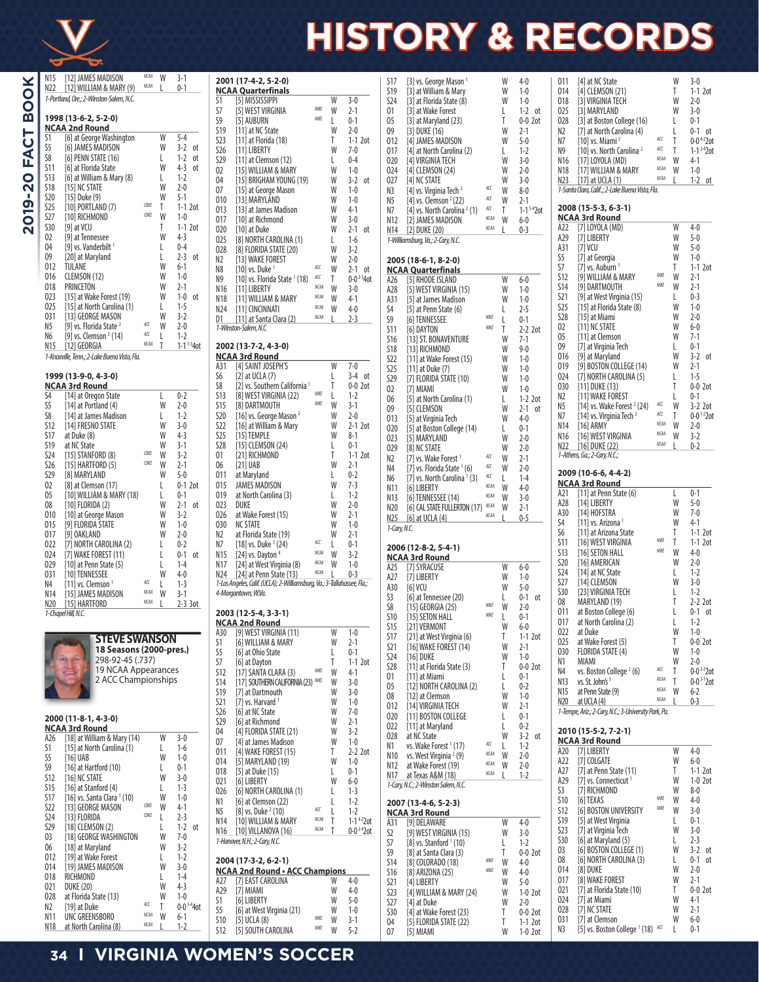

# **HISTORY & RECORDS**

| N15             | [12] JAMES MADISON                                  | NCAA<br><b>NCAA</b> | W      | 3-1                          |
|-----------------|-----------------------------------------------------|---------------------|--------|------------------------------|
| N22             | [12] WILLIAM & MARY (9)                             |                     | L      | $0 - 1$                      |
|                 | 1-Portland, Ore.; 2-Winston-Salem, N.C.             |                     |        |                              |
|                 | 1998 (13-6-2, 5-2-0)                                |                     |        |                              |
|                 | NCAA 2nd Round                                      |                     |        |                              |
| S1              | [6] at George Washington                            |                     | W      | $5 - 4$                      |
| S5<br>S8        | [6] JAMES MADISON                                   |                     | W      | $3-2$<br>оt                  |
| S11             | [6] PENN STATE (16)<br>[6] at Florida State         |                     | L<br>W | $1-2$<br>оt<br>$4 - 3$<br>оt |
| S13             | [6] at William & Mary (8)                           |                     | L      | $1-2$                        |
| <b>S18</b>      | [15] NC STATE                                       |                     | W      | $2 - 0$                      |
| S <sub>20</sub> | [15] Duke (9)                                       |                     | W      | $5-1$                        |
| S25             | [10] PORTLAND (7)                                   | COKE                | T      | $1-1$ 2ot                    |
| S27             | [10] RICHMOND                                       | COKE                | W      | $1 - 0$                      |
| S30             | [9] at VCU                                          |                     | Τ      | $1-1$ 2ot                    |
| 02              | [9] at Tennessee                                    |                     | W      | $4-3$                        |
| 04              | [9] vs. Vanderbilt $1$                              |                     | L      | $0 - 4$                      |
| 09              | [20] at Maryland                                    |                     | L<br>W | $2 - 3$<br>оt<br>$6-1$       |
| 012<br>016      | TULANE<br>CLEMSON (12)                              |                     | W      | $1 - 0$                      |
| 018             | PRINCETON                                           |                     | W      | $2 - 1$                      |
| 023             | [15] at Wake Forest (19)                            |                     | W      | $1 - 0$<br>оt                |
| 025             | [15] at North Carolina (1)                          |                     | L      | $1 - 5$                      |
| 031             | [13] GEORGE MASON                                   |                     | W      | $3-2$                        |
| N5              | [9] vs. Florida State <sup>2</sup>                  | ACC                 | W      | $2 - 0$                      |
| N6              | [9] vs. Clemson $2(14)$                             | ACC<br><b>NCAA</b>  | L      | $1-2$                        |
| N15             | [12] GEORGIA                                        |                     | T      | $1 - 1^{1-3} 4$ ot           |
|                 | 1-Knoxville, Tenn.; 2-Lake Buena Vista, Fla.        |                     |        |                              |
|                 | 1999 (13-9-0, 4-3-0)                                |                     |        |                              |
|                 | <b>NCAA 3rd Round</b>                               |                     |        |                              |
| S4              | [14] at Oregon State                                |                     | L      | $0 - 2$                      |
| S5<br>S8        | [14] at Portland (4)<br>[14] at James Madison       |                     | W<br>L | $2 - 0$<br>$1 - 2$           |
| <b>S12</b>      | [14] FRESNO STATE                                   |                     | W      | $3 - 0$                      |
| <b>S17</b>      | at Duke (8)                                         |                     | W      | $4-3$                        |
| S19             | at NC State                                         |                     | W      | $3-1$                        |
| S24             | [15] STANFORD (8)                                   | COKE                | W      | $3-2$                        |
| S <sub>26</sub> | [15] HARTFORD (5)                                   | COKE                | W      | $2 - 1$                      |
| S29             | [8] MARYLAND                                        |                     | W      | $5-0$                        |
| 02              | [8] at Clemson (17)                                 |                     | L      | $0-1$ 2ot                    |
| 05<br>08        | [10] WILLIAM & MARY (18)<br>[10] FLORIDA (2)        |                     | L<br>W | $0 - 1$<br>2-1<br>оt         |
| 010             | [10] at George Mason                                |                     | W      | $3-2$                        |
| 015             | [9] FLORIDA STATE                                   |                     | W      | $1 - 0$                      |
| 017             | [9] OAKLAND                                         |                     | W      | $2 - 0$                      |
| 022             | [7] NORTH CAROLINA (2)                              |                     | L      | $0 - 2$                      |
| 024             | [7] WAKE FOREST (11)                                |                     | L      | $0 - 1$<br>оt                |
| 029             | [10] at Penn State (5)                              |                     | L      | $1 - 4$                      |
| 031             | [10] TENNESSEE                                      | ACC                 | W      | $4 - 0$                      |
| N4<br>N14       | [11] vs. Clemson $1$                                | <b>NCAA</b>         | L<br>W | $1 - 3$<br>$3-1$             |
| N20             | [15] JAMES MADISON<br>[15] HARTFORD                 | <b>NCAA</b>         | L      | 2-3 3ot                      |
|                 | 1-Chapel Hill, N.C.                                 |                     |        |                              |
|                 |                                                     |                     |        |                              |
|                 | <b>STEVE SWANSON</b>                                |                     |        |                              |
|                 | 18 Seasons (2000-pres.)                             |                     |        |                              |
|                 | 298-92-45 (.737)                                    |                     |        |                              |
|                 |                                                     |                     |        |                              |
|                 | 19 NCAA Appearances                                 |                     |        |                              |
|                 | 2 ACC Championships                                 |                     |        |                              |
|                 |                                                     |                     |        |                              |
|                 |                                                     |                     |        |                              |
|                 | 2000 (11-8-1, 4-3-0)                                |                     |        |                              |
|                 | <b>NCAA 3rd Round</b>                               |                     |        |                              |
| A26             | [18] at William & Mary (14)                         |                     | W      | $3-0$                        |
| S1              | [15] at North Carolina (1)                          |                     | L      | $1-6$                        |
| S5              | [16] UAB                                            |                     | W<br>L | 1-0<br>$0 - 1$               |
| S9<br>S12       | [16] at Hartford (10)<br>[16] NC STATE              |                     | W      | $3-0$                        |
| <b>S15</b>      | [16] at Stanford (4)<br>[16] vs. Santa Clara 1 (10) |                     | L<br>W | $1-3$                        |

S15 [16] at Stanford (4) L<br>S17 [16] vs. Santa Clara <sup>1</sup> (10) W 1-0 S17 [16] vs. Santa Clara 1 (10) W 1-0 S17 [10] **1.3** GEORGE MASON *COKE* W 4-1<br>S24 [13] FLORIDA *COKE* L 2-3 S24 [13] FLORIDA <sup>COKE</sup> L 2-3<br>S29 [18] CLEMSON (2) L 1-2 ot S29 [18] CLEMSON (2) L 1-2<br>03 [18] GEORGE WASHINGTON W 7-0 O3 [18] GEORGE WASHINGTON W 7-0<br>06 [18] at Maryland W 3-2 06 [18] at Maryland W 3-2<br>012 [19] at Wake Forest L 1-2 O12 [19] at Wake Forest L 1-2<br>014 [19] JAMES MADISON W 3-0 O14 [19] JAMES MADISON W 3-0<br>018 RICHMOND L 1-4 018 RICHMOND L 1-4<br>021 DUKE (20) W 4-3 021 DUKE (20)<br>028 at Florida State (13) W 1-0 O28 at Florida State (13) W 1-0<br>N2 [19] at Duke MC T 0-0<sup>3-4</sup>4ot N2 [19] at Duke **ACC** T 0-0<br>N11 UNC GREENSBORO **ACCALL W** 6-1 N11 UNC GREENSBORO <sup>NCAI</sup> W 6-1<br>N18 at North Carolina (8) <sup>NCAI</sup> L 1-2 at North Carolina (8)

|                          | 2001 (17-4-2, 5-2-0)                                                                           |                    |        | S1                                          |
|--------------------------|------------------------------------------------------------------------------------------------|--------------------|--------|---------------------------------------------|
| S1                       | <b>NCAA Quarterfinals</b><br>[5] MISSISSIPPI                                                   |                    | W      | S1<br>$3-0$<br>S2                           |
| S7                       | [5] WEST VIRGINIA                                                                              | NIKE               | W      | 2-1<br>0.                                   |
| S9                       | [5] AUBURN                                                                                     | NIKE               | L      | $0 - 1$<br>0                                |
| S19                      | [11] at NC State                                                                               |                    | W      | $2 - 0$<br>09                               |
| S23<br>S26               | [11] at Florida (18)<br>[11] LIBERTY                                                           |                    | T<br>W | $1-1$ 2 $ot$<br>0<br>$7-0$<br>0             |
| S <sub>29</sub>          | [11] at Clemson (12)                                                                           |                    | L      | $0 - 4$<br>02                               |
| 02                       | [15] WILLIAM & MARY                                                                            |                    | W      | $1 - 0$<br>02                               |
| 04                       | [15] BRIGHAM YOUNG (19)                                                                        |                    | W      | $3-2$<br>02<br>οt                           |
| 07                       | [15] at George Mason                                                                           |                    | W      | $1 - 0$<br>N:                               |
| 010                      | [13] MARYLAND                                                                                  |                    | W<br>W | $1 - 0$<br>N!<br>$4-1$                      |
| 013<br>017               | [13] at James Madison<br>[10] at Richmond                                                      |                    | W      | N.<br>$3 - 0$<br>И.                         |
| 020                      | [10] at Duke                                                                                   |                    | W      | 2-1<br>0t<br>И.                             |
| 025                      | [8] NORTH CAROLINA (1)                                                                         |                    | L      | $1 - 6$<br>1-                               |
| 028                      | [8] FLORIDA STATE (20)                                                                         |                    | W      | $3-2$                                       |
| N2<br>N8                 | [13] WAKE FOREST                                                                               | ACC                | W<br>W | $2 - 0$<br>$\mathbf{z}$                     |
| N9                       | [10] vs. Duke $^1$<br>$[10]$ vs. Florida State $(18)$                                          | ACC                | Τ      | $2 - 1$<br>оt<br>Ν<br>$0-0^{2-3}4$ ot<br>A. |
| N16                      | [11] LIBERTY                                                                                   | <b>NCAA</b>        | W      | 3-0<br>A.                                   |
| N18                      | [11] WILLIAM & MARY                                                                            | <b>NCAA</b>        | W      | $4-1$<br>A:                                 |
| N24                      | [11] CINCINNATI                                                                                | <b>NCAA</b>        | W      | $4 - 0$<br>S4                               |
| D1.                      | [11] at Santa Clara (2)                                                                        | <b>NCAA</b>        | L      | $2-3$<br>SS                                 |
|                          | 1-Winston-Salem, N.C.                                                                          |                    |        | S1<br>S1                                    |
|                          | 2002 (13-7-2, 4-3-0)                                                                           |                    |        | S1                                          |
| A31                      | <b>NCAA 3rd Round</b><br>[4] SAINT JOSEPH'S                                                    |                    | W      | S2<br>$7-0$                                 |
| S6                       | $[2]$ at UCLA $(7)$                                                                            |                    | L      | S2<br>$3-4$ ot<br>S2                        |
| S8                       | [2] vs. Southern California <sup>1</sup>                                                       |                    | T      | $0-0$ 2ot<br>02                             |
| S13                      | [8] WEST VIRGINIA (22)                                                                         | NIKE<br>NIKE       | L      | $1 - 2$<br>06                               |
| <b>S15</b><br><b>S20</b> | [8] DARTMOUTH<br>[16] vs. George Mason $^2$                                                    |                    | W<br>W | $3-1$<br>09<br>$2-0$                        |
| S22                      | [16] at William & Mary                                                                         |                    | W      | 0<br>$2-1$ 2ot                              |
| <b>S25</b>               | [15] TEMPLE                                                                                    |                    | W      | 02<br>$8-1$<br>02                           |
| <b>S28</b>               | [15] CLEMSON (24)                                                                              |                    | L      | $0 - 1$<br>02                               |
| 01                       | [21] RICHMOND                                                                                  |                    | Τ      | $1-1$ 2ot<br>N.                             |
| 06                       | [21] UAB                                                                                       |                    | W      | $2 - 1$<br>N٠                               |
| 011<br>015               | at Maryland<br><b>JAMES MADISON</b>                                                            |                    | L<br>W | $0 - 2$<br>N<br>$7-3$                       |
| 019                      | at North Carolina (3)                                                                          |                    | L      | И.<br>$1 - 2$<br>V.                         |
| 023                      | DUKE                                                                                           |                    | W      | $2 - 0$<br>N.                               |
| 026                      | at Wake Forest (15)                                                                            |                    | W      | $2 - 1$<br>И.                               |
| 030                      | NC STATE                                                                                       |                    | W<br>W | $1 - 0$<br>$1-$                             |
| N2<br>N7                 | at Florida State (19)<br>[18] vs. Duke $3(24)$                                                 | ACC                | L      | 2-1<br>$0 - 1$                              |
| N15                      | [24] vs. Dayton $4$                                                                            | NCAA               | W      | $\mathbf{2}$<br>$3-2$                       |
| N17                      | [24] at West Virginia (8)                                                                      | <b>NCAA</b>        | W      | Ν<br>$1 - 0$<br>A.                          |
| N24                      | [24] at Penn State (13)                                                                        | <b>NCAA</b>        | L      | $0-3$<br>A.                                 |
|                          | 1-Los Angeles, Calif. (UCLA); 2-Williamsburg, Va.; 3-Tallahassee, Fla.;<br>4-Morgantown, W.Va. |                    |        | A:                                          |
|                          |                                                                                                |                    |        | S3<br>S٤                                    |
|                          | 2003 (12-5-4, 3-3-1)                                                                           |                    |        | S1                                          |
| A30                      | <b>NCAA 2nd Round</b><br>191 WEST VIRGINIA (11)                                                |                    |        | $\mathsf{S}$                                |
| S1                       | [6] WILLIAM & MARY                                                                             |                    |        |                                             |
| S5                       |                                                                                                |                    | W      | 1-0<br>S1                                   |
| S7                       | [6] at Ohio State                                                                              |                    | W<br>L | 2-1<br>S2<br>$0 - 1$                        |
|                          | [6] at Dayton                                                                                  |                    | T      | S2<br>$1-1$ 2ot                             |
| S12                      | [17] SANTA CLARA (3)                                                                           | NIKE               | W      | S2<br>4-1<br>0.                             |
| S14                      | [17] SOUTHERN CALIFORNIA (23) NIKE                                                             |                    | W      | $3 - 0$<br>0                                |
| S19                      | [7] at Dartmouth                                                                               |                    | W      | $3-0$<br>08                                 |
| S21<br>S26               | [7] vs. Harvard $1$<br>[6] at NC State                                                         |                    | W<br>W | $1-0$<br>0<br>$7 - 0$                       |
| S29                      | [6] at Richmond                                                                                |                    | W      | 02<br>$2 - 1$                               |
| 04                       | [4] FLORIDA STATE (21)                                                                         |                    | W      | 02<br>$3-2$<br>02                           |
| 07                       | [4] at James Madison                                                                           |                    | W      | $1 - 0$<br>V.                               |
| 011                      | [4] WAKE FOREST (15)                                                                           |                    | Τ      | 2-2 2ot<br>V.                               |
| 014<br>018               | [5] MARYLAND (19)<br>[5] at Duke (15)                                                          |                    | W<br>L | $1 - 0$<br>И.<br>$0 - 1$                    |
| 021                      | [6] LIBERTY                                                                                    |                    | W      | И.<br>$6-0$                                 |
| 026                      | [6] NORTH CAROLINA (1)                                                                         |                    | L      | 1-<br>$1-3$                                 |
| N1                       | [6] at Clemson (22)                                                                            |                    | L      | $1-2$<br>$\mathbf{z}$                       |
| N <sub>5</sub>           | [8] vs. Duke $2(10)$                                                                           | ACC<br><b>NCAA</b> | L      | $1 - 2$<br>Ν                                |
| N14                      | [10] WILLIAM & MARY                                                                            | <b>NCAA</b>        | T      | $1 - 1422$ ot<br>A:                         |
| N16                      | [10] VILLANOVA (16)<br>1-Hanover, N.H.; 2-Cary, N.C.                                           |                    | T      | $0 - 0^{2-4}$ 2ot<br>S2<br>S7               |
|                          |                                                                                                |                    |        | SS                                          |
|                          | 2004 (17-3-2, 6-2-1)                                                                           |                    |        | S1                                          |
| A27                      | <b>NCAA 2nd Round • ACC Champions</b><br>[7] EAST CAROLINA                                     |                    | W      | S1<br>$4 - 0$                               |
| A29                      | [7] MIAMI                                                                                      |                    | W      | S2<br>4-0<br>Sž                             |
| S1                       | [6] LIBERTY                                                                                    |                    | W      | $5-0$<br>S2                                 |
| S5<br>S10                | [6] at West Virginia (21)<br>[5] UCLA (8)                                                      | NIKE               | W<br>W | $1-0$<br>S3<br>3-1<br>0 <sup>4</sup>        |

| S17<br>S19<br><b>S24</b><br>01<br>05<br>09<br>012                                    | [3] vs. George Mason <sup>1</sup><br>[3] at William & Mary<br>[3] at Florida State (8)<br>[3] at Wake Forest<br>$[3]$ at Maryland $(23)$<br>[3] DUKE (16)<br>[4] JAMES MADISON                  |                                                  | W<br>W<br>W<br>L<br>T<br>W<br>W           | $4 - 0$<br>$1 - 0$<br>$1 - 0$<br>$1-2$ ot<br>$0-0$ 2ot<br>$2-1$<br>$5-0$                  | 011<br>014<br>018<br>025<br>028<br>N2<br>N7                      | [4] at NC State<br>[4] CLEMSON (21)<br>[3] VIRGINIA TECH<br>[3] MARYLAND<br>[3] at Boston College (16)<br>[7] at North Carolina (4)<br>[10] vs. Miami $^2$                                                          | ACC                                                     | W<br>T<br>W<br>W<br>L<br>L<br>T                | $3-0$<br>$1-1$ 2ot<br>$2 - 0$<br>$3-0$<br>$0 - 1$<br>$0-1$ ot<br>$0 - 0 + 220$                            |
|--------------------------------------------------------------------------------------|-------------------------------------------------------------------------------------------------------------------------------------------------------------------------------------------------|--------------------------------------------------|-------------------------------------------|-------------------------------------------------------------------------------------------|------------------------------------------------------------------|---------------------------------------------------------------------------------------------------------------------------------------------------------------------------------------------------------------------|---------------------------------------------------------|------------------------------------------------|-----------------------------------------------------------------------------------------------------------|
| 017<br>020<br>024<br>027<br>N3                                                       | [4] at North Carolina (2)<br>[4] VIRGINIA TECH<br>[4] CLEMSON (24)<br>[4] NC STATE<br>[4] vs. Virginia Tech $^2$                                                                                | ACC<br>ACC                                       | L<br>W<br>W<br>W<br>W                     | $1 - 2$<br>$3-0$<br>$2 - 0$<br>$3-0$<br>$8-0$                                             | N9<br>N16<br>N18<br>N23                                          | [10] vs. North Carolina <sup>2</sup><br>[17] LOYOLA (MD)<br>[17] WILLIAM & MARY<br>$[17]$ at UCLA $(1)$<br>1-Santa Clara, Calif; 2-Lake Buena Vista, Fla.                                                           | ACC<br><b>NCAA</b><br><b>NCAA</b><br><b>NCAA</b>        | T<br>W<br>W<br>L                               | $1 - 1^{2-4}20$<br>$4-1$<br>$1-0$<br>$1-2$ ot                                                             |
| N5<br>N7<br>N12<br>N14                                                               | [4] vs. Clemson $2(22)$<br>[4] vs. North Carolina <sup>2</sup> (1)<br>[2] JAMES MADISON<br>[2] DUKE (20)<br>1-Williamsburg, Va.; 2-Cary, N.C.                                                   | ACC<br><b>NCAA</b><br><b>NCAA</b>                | W<br>T<br>W<br>L                          | $2 - 1$<br>$1 - 1^{5-4}$ 20t<br>6-0<br>0-3                                                | A22<br>A29<br>A31                                                | 2008 (15-5-3, 6-3-1)<br><b>NCAA 3rd Round</b><br>[7] LOYOLA (MD)<br>[7] LIBERTY                                                                                                                                     |                                                         | W<br>W<br>W                                    | $4 - 0$<br>5-0<br>$5 - 0$                                                                                 |
|                                                                                      | 2005 (18-6-1, 8-2-0)<br><b>NCAA Quarterfinals</b>                                                                                                                                               |                                                  |                                           |                                                                                           | S5<br>S7                                                         | $[7]$ VCU<br>[7] at Georgia<br>[7] vs. Auburn $1$                                                                                                                                                                   |                                                         | W<br>T                                         | $1 - 0$<br>$1-1$ 2ot                                                                                      |
| A26<br>A28<br>A31<br>S4<br>S9<br>S11                                                 | [5] RHODE ISLAND<br>[5] WEST VIRGINIA (15)<br>[5] at James Madison<br>[5] at Penn State (6)<br><b>T61 TENNESSEE</b><br>[6] DAYTON                                                               | NIKE<br>NIKE                                     | W<br>W<br>W<br>L<br>L<br>T                | 6-0<br>$1 - 0$<br>$1 - 0$<br>$2 - 5$<br>$0 - 1$<br>$2-2$ 2ot                              | <b>S12</b><br><b>S14</b><br>S21<br>S25<br>S28<br>02              | [9] WILLIAM & MARY<br>[9] DARTMOUTH<br>[9] at West Virginia (15)<br>[15] at Florida State (8)<br>[15] at Miami<br>[11] NC STATE                                                                                     | NIKE<br>NIKE                                            | W<br>W<br>L<br>W<br>W<br>W                     | $2 - 1$<br>$2 - 1$<br>$0 - 3$<br>$1 - 0$<br>$2 - 0$<br>$6-0$                                              |
| S16<br><b>S18</b><br><b>S22</b><br><b>S25</b><br>S29<br>02                           | [13] ST. BONAVENTURE<br>[13] RICHMOND<br>[11] at Wake Forest (15)<br>[11] at Duke (7)<br>[7] FLORIDA STATE (10)<br>[7] MIAMI                                                                    |                                                  | W<br>W<br>W<br>W<br>W<br>W                | $7-1$<br>$9 - 0$<br>$1 - 0$<br>$1 - 0$<br>$1 - 0$<br>$1 - 0$                              | 05<br>09<br>016<br>019<br>024<br>030<br>N2                       | [11] at Clemson<br>[7] at Virginia Tech<br>[9] at Maryland<br>[9] BOSTON COLLEGE (14)<br>[7] NORTH CAROLINA (5)<br>$[11]$ DUKE $(13)$<br>[11] WAKE FOREST                                                           |                                                         | W<br>L<br>W<br>W<br>L<br>T<br>L                | $7-1$<br>$0 - 1$<br>$3-2$ ot<br>$2 - 1$<br>$1 - 5$<br>$0-0$ 2ot<br>$0 - 1$                                |
| 06<br>09<br>013<br>020<br>023<br>029<br>N2                                           | [5] at North Carolina (1)<br>[5] CLEMSON<br>[5] at Virginia Tech<br>[5] at Boston College (14)<br>[5] MARYLAND<br>[8] NC STATE<br>[7] vs. Wake Forest <sup>1</sup>                              | ACC                                              | L<br>W<br>W<br>L<br>W<br>W<br>W           | $1-2$ 2 $ot$<br>$2 - 1$<br>0t<br>$4 - 0$<br>$0 - 1$<br>$2 - 0$<br>$2 - 0$<br>$2-1$        | N5<br>Ν7<br>N14<br>N <sub>16</sub><br>N22                        | [14] vs. Wake Forest $2$ (24)<br>[14] vs. Virginia Tech $2$<br>[16] ARMY<br>[16] WEST VIRGINIA<br>$[16]$ DUKE $(22)$<br>1-Athens, Ga.; 2-Cary, N.C.;                                                                | ACC<br>ACC<br><b>NCAA</b><br><b>NCAA</b><br><b>NCAA</b> | W<br>T<br>W<br>W<br>L                          | $3-2$ 2ot<br>$0 - 0$ <sup>1-2</sup> 20<br>$2 - 0$<br>$3-2$<br>$0-2$                                       |
| N4<br>N6<br>N11                                                                      | [7] vs. Florida State 1 (6)<br>[7] vs. North Carolina $(3)$<br>[6] LIBERTY                                                                                                                      | ACC<br>ACC<br><b>NCAA</b>                        | W<br>L<br>W                               | $2 - 0$<br>$1 - 4$<br>$4 - 0$                                                             |                                                                  | 2009 (10-6-6, 4-4-2)<br><b>NCAA 3rd Round</b>                                                                                                                                                                       |                                                         |                                                |                                                                                                           |
| N13<br>N20<br>N25<br>1-Cary, N.C.                                                    | [6] TENNESSEE (14)<br>[6] CAL STATE FULLERTON (17)<br>[6] at UCLA (4)                                                                                                                           | <b>NCAA</b><br><b>NCAA</b><br><b>NCAA</b>        | W<br>W                                    | $3-0$<br>$2 - 1$<br>$0-5$                                                                 | A21<br>A28<br>A30<br>S4<br>S6                                    | [11] at Penn State (6)<br>[14] LIBERTY<br>[14] HOFSTRA<br>[11] vs. Arizona $1$<br>[11] at Arizona State                                                                                                             |                                                         | L<br>W<br>W<br>W<br>Τ                          | $0 - 1$<br>$5-0$<br>$7 - 0$<br>$4-1$<br>$1-1$ 2ot                                                         |
|                                                                                      | 2006 (12-8-2, 5-4-1)<br><b>NCAA 3rd Round</b>                                                                                                                                                   |                                                  |                                           |                                                                                           | S11<br><b>S13</b><br>S20                                         | [16] WEST VIRGINIA<br>[16] SETON HALL<br>[16] AMERICAN                                                                                                                                                              | NIKE<br>NIKE                                            | T<br>W<br>W                                    | $1-1$ 2ot<br>$4 - 0$<br>$2 - 0$                                                                           |
| A25<br>A27<br>A30<br>S3<br>S8<br><b>S10</b>                                          | [7] SYRACUSE<br>[7] LIBERTY<br>[6] VCU<br>[6] at Tennessee (20)<br>[15] GEORGIA (25)<br>[15] SETON HALL                                                                                         | NIKE<br>NIKE                                     | W<br>W<br>W<br>L<br>W<br>L                | $6-0$<br>$1-0$<br>$5-0$<br>$0 - 1$<br>0t<br>$2 - 0$<br>$0 - 1$                            | <b>S24</b><br><b>S27</b><br>S30<br>08<br>011                     | [14] at NC State<br>[14] CLEMSON<br>[23] VIRGINIA TECH<br>MARYLAND (19)<br>at Boston College (6)                                                                                                                    |                                                         | L<br>W<br>L<br>Τ<br>L                          | $1-2$<br>$3 - 0$<br>$1-2$<br>$2-2$ 2ot<br>0-1<br>0t                                                       |
| 515<br>S17<br>S21<br><b>S24</b><br>S28                                               | [21] VERMONT<br>[21] at West Virginia (6)<br>[16] WAKE FOREST (14)<br>[16] DUKE<br>[11] at Florida State (3)                                                                                    |                                                  | W<br>Τ<br>W<br>W<br>T                     | 6-0<br>$1-1$ 2ot<br>2-1<br>$1-0$<br>$0-0$ 2ot                                             | 017<br>022<br>025<br>030<br>Ν1<br>N4                             | at North Carolina (2)<br>at Duke<br>at Wake Forest (5)<br>FLORIDA STATE (4)<br>MIAMI<br>vs. Boston College <sup>2</sup> (6)                                                                                         | ACC                                                     | L<br>W<br>T<br>W<br>W<br>T                     | $1 - 2$<br>$1 - 0$<br>$0-0$ 2ot<br>$1-0$<br>$2 - 0$<br>$0 - 0^{2-3}20$                                    |
| 01<br>05<br>08<br>012<br>020<br>022                                                  | [11] at Miami<br>[12] NORTH CAROLINA (2)<br>[12] at Clemson<br>[14] VIRGINIA TECH<br>[11] BOSTON COLLEGE<br>[11] at Maryland                                                                    |                                                  | L<br>L<br>W<br>W<br>L<br>L                | 0-1<br>$0 - 2$<br>$1 - 0$<br>2-1<br>0-1<br>$0 - 2$                                        | N13<br>N15<br>N20                                                | vs. St. John's 3<br>at Penn State (9)<br>at UCLA (4)<br>1-Tempe, Ariz.; 2-Cary, N.C.; 3-University Park, Pa.                                                                                                        | <b>NCAA</b><br>NCAA<br><b>NCAA</b>                      | T<br>W<br>L                                    | $0 - 03 - 120$<br>6-2<br>$0-3$                                                                            |
| 028<br>Ν1<br>N10<br>N12<br>N17                                                       | at NC State<br>vs. Wake Forest <sup>1</sup> (17)<br>vs. West Virginia <sup>2</sup> (9)<br>at Wake Forest (19)<br>at Texas A&M (18)                                                              | ACC<br><b>NCAA</b><br><b>NCAA</b><br><b>NCAA</b> | W<br>L<br>W<br>W<br>L                     | $3-2$ ot<br>$1-2$<br>$2 - 0$<br>$2 - 0$<br>$1-2$                                          | A20<br>A22<br>A27<br>A29                                         | 2010 (15-5-2, 7-2-1)<br><b>NCAA 3rd Round</b><br>[7] LIBERTY<br>[7] COLGATE<br>[7] at Penn State (11)<br>[7] vs. Connecticut <sup>1</sup>                                                                           |                                                         | W<br>W<br>T<br>W                               | $4 - 0$<br>$6-0$<br>$1-1$ 2ot<br>$1-0$ 2ot                                                                |
|                                                                                      | 1-Cary, N.C.; 2-Winston Salem, N.C.<br>2007 (13-4-6, 5-2-3)<br><b>NCAA 3rd Round</b>                                                                                                            |                                                  |                                           |                                                                                           | S3<br><b>S10</b><br>S12                                          | [7] RICHMOND<br>[6] TEXAS<br>[6] BOSTON UNIVERSITY                                                                                                                                                                  | NIKE<br>NIKE                                            | W<br>W<br>W                                    | 8-0<br>$4 - 0$<br>3-0                                                                                     |
| A31<br>S2<br>S7<br>S9<br><b>S14</b><br><b>S16</b><br>S21<br><b>S23</b><br><b>S27</b> | [9] DELAWARE<br>[9] WEST VIRGINIA (15)<br>$[8]$ vs. Stanford $(10)$<br>[8] at Santa Clara (3)<br>[8] COLORADO (18)<br>[8] ARIZONA (25)<br>[4] LIBERTY<br>[4] WILLIAM & MARY (24)<br>[4] at Duke | NIKE<br>NIKE                                     | W<br>W<br>L<br>T<br>W<br>W<br>W<br>W<br>W | $4 - 0$<br>$3-0$<br>$1-2$<br>$0-0$ 2ot<br>4-0<br>$4 - 0$<br>$5-0$<br>$1-0$ 2ot<br>$2 - 0$ | S19<br>S23<br>S30<br>03<br>08<br>014<br>017<br>021<br>024<br>028 | [5] at West Virginia<br>[7] at Virginia Tech<br>[6] at Maryland (5)<br>[6] BOSTON COLLEGE (1)<br>[6] NORTH CAROLINA (3)<br>[8] DUKE<br>[8] WAKE FOREST<br>[7] at Florida State (10)<br>[7] at Miami<br>[7] NC STATE |                                                         | L<br>W<br>L<br>W<br>L<br>W<br>W<br>Τ<br>W<br>W | $0 - 1$<br>$3-0$<br>$2 - 3$<br>$3-2$ ot<br>0-1<br>0t<br>$2 - 0$<br>$2-1$<br>$0-0$ 2ot<br>$4-1$<br>$2 - 1$ |
| S30<br>04<br>07                                                                      | [4] at Wake Forest (23)<br>[5] FLORIDA STATE (22)<br>[5] MIAMI                                                                                                                                  |                                                  | T<br>T<br>W                               | $0-0$ 2ot<br>$1-1$ 2ot<br>$1-0$ 2ot                                                       | 031<br>N3                                                        | [7] at Clemson<br>[5] vs. Boston College <sup>1</sup> (18) ACC                                                                                                                                                      |                                                         | W<br>L                                         | 6-0<br>$0 - 1$                                                                                            |

| 025             | [3] MARYLAND                                   |             | W | $3-0$                      |
|-----------------|------------------------------------------------|-------------|---|----------------------------|
| 028             | [3] at Boston College (16)                     |             | L | $0-1$                      |
| N2              | [7] at North Carolina (4)                      |             | L | $0 - 1$<br>ot              |
| N7              | [10] vs. Miami $^2$                            | ACC         | T | $0 - 0 + 2$ 20t            |
| N9              | [10] vs. North Carolina <sup>2</sup>           | ACC         | T | $1-1^{2.4}$ 2ot            |
| N16             | [17] LOYOLA (MD)                               | <b>NCAA</b> | W | $4-1$                      |
| N18             | [17] WILLIAM & MARY                            | NCAA        | W | $1 - 0$                    |
| N23             | [17] at UCLA (1)                               | NCAA        | L | $1 - 2$<br>оt              |
|                 | 1-Santa Clara, Calif; 2-Lake Buena Vista, Fla. |             |   |                            |
|                 |                                                |             |   |                            |
|                 | 2008 (15-5-3, 6-3-1)                           |             |   |                            |
|                 | <b>NCAA 3rd Round</b>                          |             |   |                            |
| A22             | [7] LOYOLA (MD)                                |             | W | $4 - 0$                    |
| A29             | [7] LIBERTY                                    |             | W | $5-0$                      |
| A31             | [7] VCU                                        |             | W | $5 - 0$                    |
| S5              | [7] at Georgia                                 |             | W | $1 - 0$                    |
| S7              | [7] vs. Auburn <sup>1</sup>                    |             | T | $1-1$ 2 $_0$ t             |
| <b>S12</b>      | [9] WILLIAM & MARY                             | NIKF        | W | $2 - 1$                    |
| S14             | [9] DARTMOUTH                                  | NIKF        | W | $2 - 1$                    |
| S21             | [9] at West Virginia (15)                      |             | L | $0 - 3$                    |
| S25             | [15] at Florida State (8)                      |             | W | $1 - 0$                    |
| <b>S28</b>      | [15] at Miami                                  |             | W | $2 - 0$                    |
| $02\,$          | [11] NC STATE                                  |             | W | $6-0$                      |
| 05              | [11] at Clemson                                |             | W | $7-1$                      |
| 09              | [7] at Virginia Tech                           |             | L | $0 - 1$                    |
| 016             | [9] at Maryland                                |             | W | $3-2$<br>ot                |
| 019             | [9] BOSTON COLLEGE (14)                        |             | W | $2 - 1$                    |
| 024             | [7] NORTH CAROLINA (5)                         |             | L | $1 - 5$                    |
| 030             | [11] DUKE (13)                                 |             | T | $0-0$ 2ot                  |
| N <sub>2</sub>  | [11] WAKE FOREST                               |             | L | $0 - 1$                    |
| N5              | [14] vs. Wake Forest <sup>2</sup> (24)         | ACC         | W | $3-2$ 2 $ot$               |
| N7              | [14] vs. Virginia Tech <sup>2</sup>            | ACC         | T | $0 - 0$ <sup>1-2</sup> 2ot |
| N14             | [16] ARMY                                      | <b>NCAA</b> | W | $2 - 0$                    |
| N <sub>16</sub> | [16] WEST VIRGINIA                             | <b>NCAA</b> | W | $3-2$                      |
| N22             | [16] DUKE (22)                                 | NCAA        | L | $0 - 2$                    |
|                 | 1-Athens, Ga.; 2-Cary, N.C.;                   |             |   |                            |

#### **2009 (10-6-6, 4-4-2)**

|                                                      | <b>NCAA 3rd Round</b>               |             |   |                  |  |
|------------------------------------------------------|-------------------------------------|-------------|---|------------------|--|
| A21                                                  | [11] at Penn State (6)              |             | L | $0 - 1$          |  |
| A28                                                  | [14] LIBERTY                        |             | W | $5-0$            |  |
| A30                                                  | [14] HOFSTRA                        |             | W | $7-0$            |  |
| S4                                                   | [11] vs. Arizona <sup>1</sup>       |             | W | $4-1$            |  |
| S6                                                   | [11] at Arizona State               |             | T | $1-1$ 2 $_0$ t   |  |
| <b>S11</b>                                           | [16] WEST VIRGINIA                  | NIKF        | T | $1-1$ 2 $_0$ t   |  |
| S13                                                  | [16] SETON HALL                     | NIKF        | W | $4 - 0$          |  |
| <b>S20</b>                                           | [16] AMERICAN                       |             | W | $2 - 0$          |  |
| S24                                                  | [14] at NC State                    |             | L | $1 - 2$          |  |
| <b>S27</b>                                           | [14] CLEMSON                        |             | W | $3-0$            |  |
| <b>S30</b>                                           | [23] VIRGINIA TECH                  |             | L | $1 - 2$          |  |
| 08                                                   | MARYLAND (19)                       |             | T | $2-2$ 2ot        |  |
| 011                                                  | at Boston College (6)               |             | L | $0 - 1$<br>0t    |  |
| 017                                                  | at North Carolina (2)               |             | L | $1-2$            |  |
| 022                                                  | at Duke                             |             | W | $1 - 0$          |  |
| 025                                                  | at Wake Forest (5)                  |             | T | $0-0$ 2ot        |  |
| 030                                                  | <b>FLORIDA STATE (4)</b>            |             | W | $1 - 0$          |  |
| N1                                                   | MIAMI                               |             | W | $2 - 0$          |  |
| N4                                                   | vs. Boston College <sup>2</sup> (6) | ACC         | T | $0-0^{2-3}$ 2ot  |  |
| N13                                                  | vs. St. John's <sup>3</sup>         | <b>NCAA</b> | T | $0 - 03 - 12$ ot |  |
| N <sub>15</sub>                                      | at Penn State (9)                   | NCAA        | W | $6 - 2$          |  |
| N20                                                  | at UCLA (4)                         | <b>NCAA</b> | L | $0 - 3$          |  |
| 1-Tempe, Ariz.; 2-Cary, N.C.; 3-University Park, Pa. |                                     |             |   |                  |  |
|                                                      |                                     |             |   |                  |  |
| 2010 (15-5-2, 7-2-1)                                 |                                     |             |   |                  |  |

|            | <b>NCAA 3rd Round</b>            |      |   |                    |
|------------|----------------------------------|------|---|--------------------|
| A20        | [7] LIBERTY                      |      | W | $4 - 0$            |
| A22        | [7] COLGATE                      |      | W | $6 - 0$            |
| A27        | [7] at Penn State (11)           |      | T | $1-1$ 2 $ot$       |
| A29        | [7] vs. Connecticut <sup>1</sup> |      | W | $1-0$ 2 $\sigma$ t |
| S3         | [7] RICHMOND                     |      | W | $8-0$              |
| <b>S10</b> | <b>[6] TEXAS</b>                 | NIKF | W | $4 - 0$            |
| <b>S12</b> | [6] BOSTON UNIVERSITY            | NIKF | W | $3-0$              |
| <b>S19</b> | [5] at West Virginia             |      | L | $0 - 1$            |
| <b>S23</b> | [7] at Virginia Tech             |      | W | $3-0$              |
| <b>S30</b> | [6] at Maryland (5)              |      | L | $2 - 3$            |
| 03         | [6] BOSTON COLLEGE (1)           |      | W | $3-2$<br>оt        |
| 08         | [6] NORTH CAROLINA (3)           |      | L | $0 - 1$<br>оt      |
| 014        | [8] DUKE                         |      | W | $2 - 0$            |
| 017        | [8] WAKE FOREST                  |      | W | $2 - 1$            |
| 021        | [7] at Florida State (10)        |      | T | $0-0.2$ ot         |
| 024        | [7] at Miami                     |      | W | $4-1$              |
| 028        | [7] NC STATE                     |      | W | $2 - 1$            |
| 031        | [7] at Clemson                   |      | W | $6 - 0$            |
| N3         | [5] vs. Boston College $(18)$    | ACC  |   | $0 - 1$            |

### **34 I VIRGINIA WOMEN'S SOCCER**